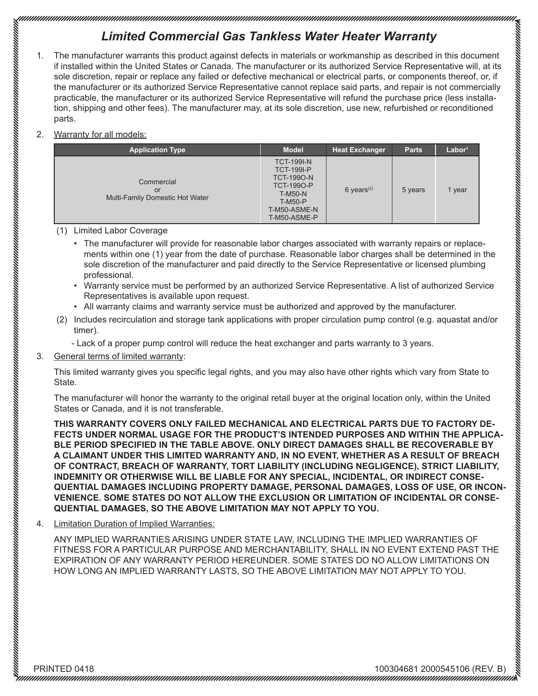# *Limited Commercial Gas Tankless Water Heater Warranty*

1. The manufacturer warrants this product against defects in materials or workmanship as described in this document if installed within the United States or Canada. The manufacturer or its authorized Service Representative will, at its sole discretion, repair or replace any failed or defective mechanical or electrical parts, or components thereof, or, if the manufacturer or its authorized Service Representative cannot replace said parts, and repair is not commercially practicable, the manufacturer or its authorized Service Representative will refund the purchase price (less installation, shipping and other fees). The manufacturer may, at its sole discretion, use new, refurbished or reconditioned parts.

#### 2. Warranty for all models:

| <b>Application Type</b>                             | <b>Model</b>                                                                                                                                         | <b>Heat Exchanger</b>    | <b>Parts</b> | Labor <sup>1</sup> |
|-----------------------------------------------------|------------------------------------------------------------------------------------------------------------------------------------------------------|--------------------------|--------------|--------------------|
| Commercial<br>or<br>Multi-Family Domestic Hot Water | <b>TCT-199I-N</b><br><b>TCT-199I-P</b><br><b>TCT-1990-N</b><br><b>TCT-1990-P</b><br><b>T-M50-N</b><br><b>T-M50-P</b><br>T-M50-ASME-N<br>T-M50-ASME-P | $6$ years <sup>(2)</sup> | 5 years      | year               |

- (1) Limited Labor Coverage
	- The manufacturer will provide for reasonable labor charges associated with warranty repairs or replacements within one (1) year from the date of purchase. Reasonable labor charges shall be determined in the sole discretion of the manufacturer and paid directly to the Service Representative or licensed plumbing professional.
	- Warranty service must be performed by an authorized Service Representative. A list of authorized Service Representatives is available upon request.
	- All warranty claims and warranty service must be authorized and approved by the manufacturer.
- (2) Includes recirculation and storage tank applications with proper circulation pump control (e.g. aquastat and/or timer).
	- Lack of a proper pump control will reduce the heat exchanger and parts warranty to 3 years.

### 3. General terms of limited warranty:

aa ka ka maalaa hayaa hayaa hayaa hayaa hayaa hayaa hayaa hayaa hayaa hayaa hayaa hayaa hayaa hayaa hayaa haya

This limited warranty gives you specific legal rights, and you may also have other rights which vary from State to State.

The manufacturer will honor the warranty to the original retail buyer at the original location only, within the United States or Canada, and it is not transferable.

**THIS WARRANTY COVERS ONLY FAILED MECHANICAL AND ELECTRICAL PARTS DUE TO FACTORY DE-FECTS UNDER NORMAL USAGE FOR THE PRODUCT'S INTENDED PURPOSES AND WITHIN THE APPLICA-BLE PERIOD SPECIFIED IN THE TABLE ABOVE. ONLY DIRECT DAMAGES SHALL BE RECOVERABLE BY A CLAIMANT UNDER THIS LIMITED WARRANTY AND, IN NO EVENT, WHETHER AS A RESULT OF BREACH OF CONTRACT, BREACH OF WARRANTY, TORT LIABILITY (INCLUDING NEGLIGENCE), STRICT LIABILITY, INDEMNITY OR OTHERWISE WILL BE LIABLE FOR ANY SPECIAL, INCIDENTAL, OR INDIRECT CONSE-QUENTIAL DAMAGES INCLUDING PROPERTY DAMAGE, PERSONAL DAMAGES, LOSS OF USE, OR INCON-VENIENCE. SOME STATES DO NOT ALLOW THE EXCLUSION OR LIMITATION OF INCIDENTAL OR CONSE-QUENTIAL DAMAGES, SO THE ABOVE LIMITATION MAY NOT APPLY TO YOU.**

4. Limitation Duration of Implied Warranties:

ANY IMPLIED WARRANTIES ARISING UNDER STATE LAW, INCLUDING THE IMPLIED WARRANTIES OF FITNESS FOR A PARTICULAR PURPOSE AND MERCHANTABILITY, SHALL IN NO EVENT EXTEND PAST THE EXPIRATION OF ANY WARRANTY PERIOD HEREUNDER. SOME STATES DO NO ALLOW LIMITATIONS ON HOW LONG AN IMPLIED WARRANTY LASTS, SO THE ABOVE LIMITATION MAY NOT APPLY TO YOU.

aa haana maanaa maanaa maanaa maanaa maanaa maanaa maanaa maanaa maanaa maanaa maanaa maanaa maanaa maanaa maa